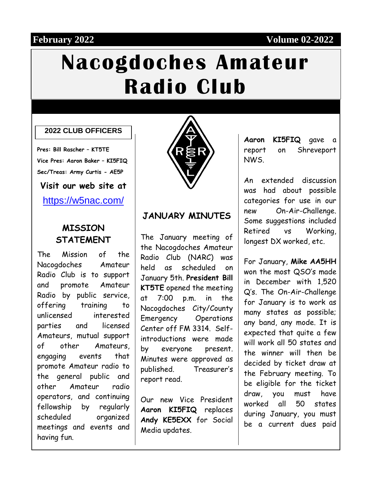### **February 2022 Volume 02-2022**

# **Nacogdoches Amateur Radio Club**

#### **2022 CLUB OFFICERS**

**Pres: Bill Rascher – KT5TE Vice Pres: Aaron Baker – KI5FIQ Sec/Treas: Army Curtis - AE5P**

**Visit our web site at**

<https://w5nac.com/>

#### **MISSION STATEMENT**

The Mission of the Nacogdoches Amateur Radio Club is to support and promote Amateur Radio by public service, offering training to unlicensed interested parties and licensed Amateurs, mutual support of other Amateurs, engaging events that promote Amateur radio to the general public and other Amateur radio operators, and continuing fellowship by regularly scheduled organized meetings and events and having fun.



#### **JANUARY MINUTES**

The January meeting of the Nacogdoches Amateur Radio Club (NARC) was held as scheduled on January 5th. **President Bill KT5TE** opened the meeting at 7:00 p.m. in the Nacogdoches City/County Emergency Operations Center off FM 3314. Selfintroductions were made by everyone present. Minutes were approved as published. Treasurer's report read.

Our new Vice President **Aaron KI5FIQ** replaces **Andy KE5EXX** for Social Media updates.

**Aaron KI5FIQ** gave a report on Shreveport NWS.

An extended discussion was had about possible categories for use in our new On-Air-Challenge. Some suggestions included Retired vs Working, longest DX worked, etc.

For January, **Mike AA5HH** won the most QSO's made in December with 1,520 Q's. The On-Air-Challenge for January is to work as many states as possible; any band, any mode. It is expected that quite a few will work all 50 states and the winner will then be decided by ticket draw at the February meeting. To be eligible for the ticket draw, you must have worked all 50 states during January, you must be a current dues paid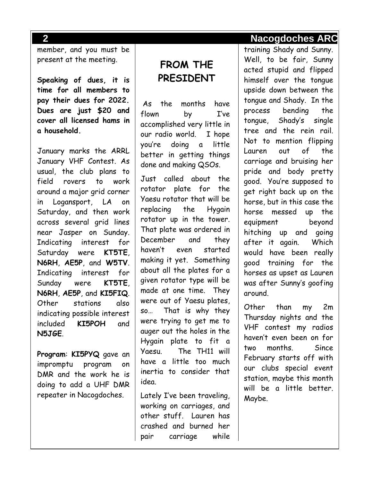member, and you must be present at the meeting.

**Speaking of dues, it is time for all members to pay their dues for 2022. Dues are just \$20 and cover all licensed hams in a household.** 

January marks the ARRL January VHF Contest. As usual, the club plans to field rovers to work around a major grid corner in Logansport, LA on Saturday, and then work across several grid lines near Jasper on Sunday. Indicating interest for Saturday were **KT5TE**, **N6RH**, **AE5P**, and **W5TV**. Indicating interest for Sunday were **KT5TE**, **N6RH**, **AE5P**, and **KI5FIQ**. Other stations also indicating possible interest included **KI5POH** and **N5JGE**.

**Program**: **KI5PYQ** gave an impromptu program on DMR and the work he is doing to add a UHF DMR repeater in Nacogdoches.

# **FROM THE PRESIDENT**

As the months have flown by I've accomplished very little in our radio world. I hope you're doing a little better in getting things done and making QSOs.

Just called about the rotator plate for the Yaesu rotator that will be replacing the Hygain rotator up in the tower. That plate was ordered in December and they haven't even started making it yet. Something about all the plates for a given rotator type will be made at one time. They were out of Yaesu plates, so… That is why they were trying to get me to auger out the holes in the Hygain plate to fit a Yaesu. The TH11 will have a little too much inertia to consider that idea.

Lately I've been traveling, working on carriages, and other stuff. Lauren has crashed and burned her pair carriage while

#### **2 Nacogdoches ARC**

training Shady and Sunny. Well, to be fair, Sunny acted stupid and flipped himself over the tongue upside down between the tongue and Shady. In the process bending the tongue, Shady's single tree and the rein rail. Not to mention flipping Lauren out of the carriage and bruising her pride and body pretty good. You're supposed to get right back up on the horse, but in this case the horse messed up the equipment beyond hitching up and going after it again. Which would have been really good training for the horses as upset as Lauren was after Sunny's goofing around.

Other than my 2m Thursday nights and the VHF contest my radios haven't even been on for two months. Since February starts off with our clubs special event station, maybe this month will be a little better. Maybe.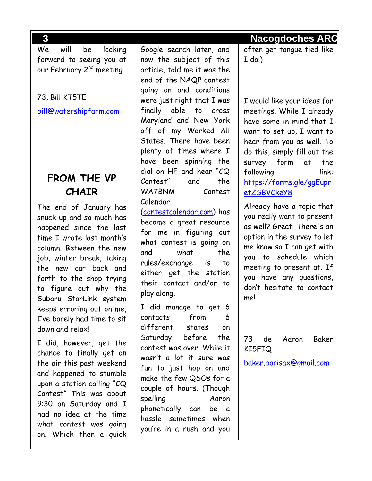We will be looking forward to seeing you at our February 2<sup>nd</sup> meeting.

#### 73, Bill KT5TE

[bill@watershipfarm.com](mailto:bill@watershipfarm.com)

## **FROM THE VP CHAIR**

The end of January has snuck up and so much has happened since the last time I wrote last month's column. Between the new job, winter break, taking the new car back and forth to the shop trying to figure out why the Subaru StarLink system keeps erroring out on me, I've barely had time to sit down and relax!

I did, however, get the chance to finally get on the air this past weekend and happened to stumble upon a station calling "CQ Contest" This was about 9:30 on Saturday and I had no idea at the time what contest was going on. Which then a quick Google search later, and now the subject of this article, told me it was the end of the NAQP contest going on and conditions were just right that I was finally able to cross Maryland and New York off of my Worked All States. There have been plenty of times where I have been spinning the dial on HF and hear "CQ Contest" and the WA7BNM Contest Calendar [\(contestcalendar.com\)](https://www.contestcalendar.com/index.html) has become a great resource for me in figuring out what contest is going on and what the rules/exchange is to either get the station their contact and/or to play along. I did manage to get 6 contacts from 6 different states on Saturday before the contest was over. While it

wasn't a lot it sure was fun to just hop on and make the few QSOs for a couple of hours. (Though spelling Aaron phonetically can be a hassle sometimes when you're in a rush and you

**3 Nacogdoches ARC**

often get tongue tied like I do!)

I would like your ideas for meetings. While I already have some in mind that I want to set up, I want to hear from you as well. To do this, simply fill out the survey form at the following link: [https://forms.gle/ggEupr](https://forms.gle/ggEupretZSBVCkeY8) [etZSBVCkeY8](https://forms.gle/ggEupretZSBVCkeY8)

Already have a topic that you really want to present as well? Great! There's an option in the survey to let me know so I can get with you to schedule which meeting to present at. If you have any questions, don't hesitate to contact me!

73 de Aaron Baker KI5FIQ

[baker.barisax@gmail.com](mailto:baker.barisax@gmail.com)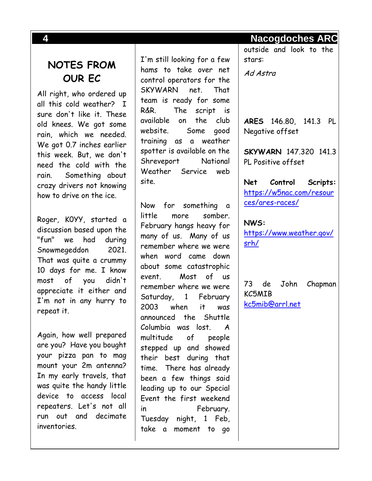# **NOTES FROM OUR EC**

All right, who ordered up all this cold weather? I sure don't like it. These old knees. We got some rain, which we needed. We got 0.7 inches earlier this week. But, we don't need the cold with the rain. Something about crazy drivers not knowing how to drive on the ice.

Roger, K0YY, started a discussion based upon the "fun" we had during Snowmegeddon 2021. That was quite a crummy 10 days for me. I know most of you didn't appreciate it either and I'm not in any hurry to repeat it.

Again, how well prepared are you? Have you bought your pizza pan to mag mount your 2m antenna? In my early travels, that was quite the handy little device to access local repeaters. Let's not all run out and decimate inventories.

I'm still looking for a few hams to take over net control operators for the SKYWARN net. That team is ready for some R&R. The script is available on the club website. Some good training as a weather spotter is available on the Shreveport National Weather Service web site.

Now for something a little more somber. February hangs heavy for many of us. Many of us remember where we were when word came down about some catastrophic event. Most of us remember where we were Saturday, 1 February 2003 when it was announced the Shuttle Columbia was lost. A multitude of people stepped up and showed their best during that time. There has already been a few things said leading up to our Special Event the first weekend in February. Tuesday night, 1 Feb, take a moment to go

**4 Nacogdoches ARC**

outside and look to the stars:

Ad Astra

**ARES** 146.80, 141.3 PL Negative offset

**SKYWARN** 147.320 141.3 PL Positive offset

**Net Control Scripts:** [https://w5nac.com/resour](https://w5nac.com/resources/ares-races/) [ces/ares-races/](https://w5nac.com/resources/ares-races/)

**NWS:**  [https://www.weather.gov/](https://www.weather.gov/srh/) [srh/](https://www.weather.gov/srh/)

73 de John Chapman KC5MIB [kc5mib@arrl.net](mailto:kc5mib@arrl.net)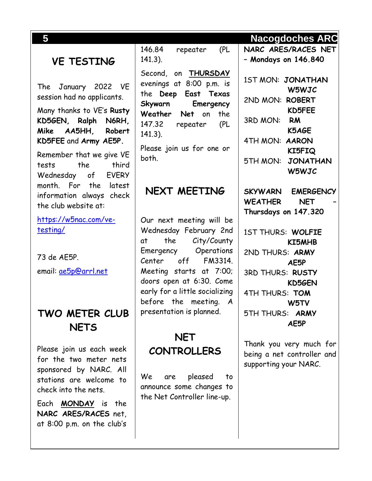# **VE TESTING**

The January 2022 VE session had no applicants.

Many thanks to VE's **Rusty KD5GEN, Ralph N6RH, Mike AA5HH, Robert KD5FEE** and **Army AE5P.**

Remember that we give VE tests the third Wednesday of EVERY month. For the latest information always check the club website at:

[https://w5nac.com/ve](https://w5nac.com/ve-testing/)[testing/](https://w5nac.com/ve-testing/)

73 de AE5P. email: [ae5p@arrl.net](mailto:ae5p@arrl.net)

# **TWO METER CLUB NETS**

Please join us each week for the two meter nets sponsored by NARC. All stations are welcome to check into the nets.

Each **MONDAY** is the **NARC ARES/RACES** net, at 8:00 p.m. on the club's

146.84 repeater (PL 141.3).

Second, on **THURSDAY** evenings at 8:00 p.m. is the **Deep East Texas Skywarn Emergency Weather Net** on the 147.32 repeater (PL 141.3).

Please join us for one or both.

#### **NEXT MEETING**

Our next meeting will be Wednesday February 2nd at the City/County Emergency Operations Center off FM3314. Meeting starts at 7:00; doors open at 6:30. Come early for a little socializing before the meeting. A presentation is planned.

# **NET CONTROLLERS**

We are pleased to announce some changes to the Net Controller line-up.

#### **5 Nacogdoches ARC**

**NARC ARES/RACES NET – Mondays on 146.840**

1ST MON: **JONATHAN W5WJC** 2ND MON: **ROBERT KD5FEE** 3RD MON: **RM K5AGE** 4TH MON: **AARON KI5FIQ** 5TH MON: **JONATHAN W5WJC**

**SKYWARN EMERGENCY WEATHER NET – Thursdays on 147.320**

1ST THURS: **WOLFIE KI5MHB** 2ND THURS: **ARMY AE5P** 3RD THURS: **RUSTY KD5GEN** 4TH THURS: **TOM W5TV** 5TH THURS: **ARMY AE5P**

Thank you very much for being a net controller and supporting your NARC.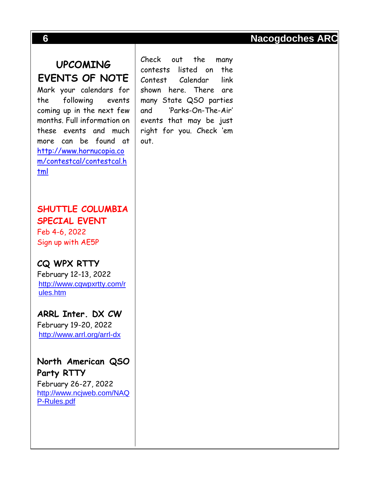Mark your calendars for the following events coming up in the next few months. Full information on these events and much more can be found at [http://www.hornucopia.co](http://www.hornucopia.com/contestcal/contestcal.html) [m/contestcal/contestcal.h](http://www.hornucopia.com/contestcal/contestcal.html) [tml](http://www.hornucopia.com/contestcal/contestcal.html)

**SHUTTLE COLUMBIA SPECIAL EVENT**

Feb 4-6, 2022 Sign up with AE5P

**CQ WPX RTTY** February 12-13, 2022 [http://www.cqwpxrtty.com/r](http://www.cqwpxrtty.com/rules.htm) [ules.htm](http://www.cqwpxrtty.com/rules.htm)

**ARRL Inter. DX CW** February 19-20, 2022 <http://www.arrl.org/arrl-dx>

**North American QSO Party RTTY** February 26-27, 2022 [http://www.ncjweb.com/NAQ](http://www.ncjweb.com/NAQP-Rules.pdf) [P-Rules.pdf](http://www.ncjweb.com/NAQP-Rules.pdf)

Check out the many contests listed on the Contest Calendar link shown here. There are many State QSO parties and 'Parks-On-The-Air' events that may be just right for you. Check 'em out.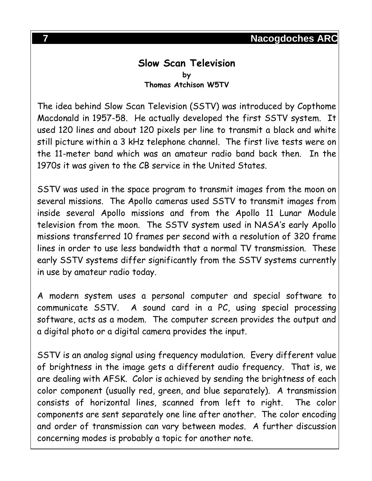#### **Slow Scan Television by Thomas Atchison W5TV**

The idea behind Slow Scan Television (SSTV) was introduced by Copthome Macdonald in 1957-58. He actually developed the first SSTV system. It used 120 lines and about 120 pixels per line to transmit a black and white still picture within a 3 kHz telephone channel. The first live tests were on the 11-meter band which was an amateur radio band back then. In the 1970s it was given to the CB service in the United States.

SSTV was used in the space program to transmit images from the moon on several missions. The Apollo cameras used SSTV to transmit images from inside several Apollo missions and from the Apollo 11 Lunar Module television from the moon. The SSTV system used in NASA's early Apollo missions transferred 10 frames per second with a resolution of 320 frame lines in order to use less bandwidth that a normal TV transmission. These early SSTV systems differ significantly from the SSTV systems currently in use by amateur radio today.

A modern system uses a personal computer and special software to communicate SSTV. A sound card in a PC, using special processing software, acts as a modem. The computer screen provides the output and a digital photo or a digital camera provides the input.

SSTV is an analog signal using frequency modulation. Every different value of brightness in the image gets a different audio frequency. That is, we are dealing with AFSK. Color is achieved by sending the brightness of each color component (usually red, green, and blue separately). A transmission consists of horizontal lines, scanned from left to right. The color components are sent separately one line after another. The color encoding and order of transmission can vary between modes. A further discussion concerning modes is probably a topic for another note.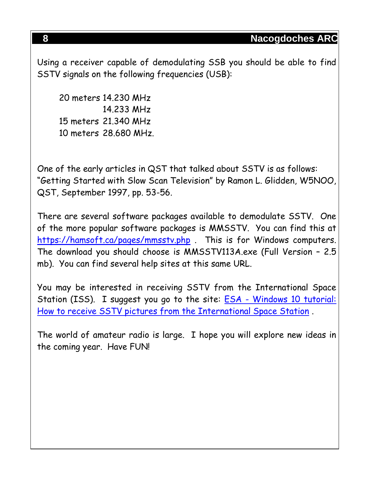Using a receiver capable of demodulating SSB you should be able to find SSTV signals on the following frequencies (USB):

20 meters 14.230 MHz 14.233 MHz 15 meters 21.340 MHz 10 meters 28.680 MHz.

One of the early articles in QST that talked about SSTV is as follows: "Getting Started with Slow Scan Television" by Ramon L. Glidden, W5NOO, QST, September 1997, pp. 53-56.

There are several software packages available to demodulate SSTV. One of the more popular software packages is MMSSTV. You can find this at <https://hamsoft.ca/pages/mmsstv.php> . This is for Windows computers. The download you should choose is MMSSTV113A.exe (Full Version – 2.5 mb). You can find several help sites at this same URL.

You may be interested in receiving SSTV from the International Space Station (ISS). I suggest you go to the site: ESA - Windows 10 tutorial: [How to receive SSTV pictures from the International Space Station](https://www.esa.int/ESA_Multimedia/Videos/2020/07/Windows_10_tutorial_How_to_receive_SSTV_pictures_from_the_International_Space_Station) .

The world of amateur radio is large. I hope you will explore new ideas in the coming year. Have FUN!